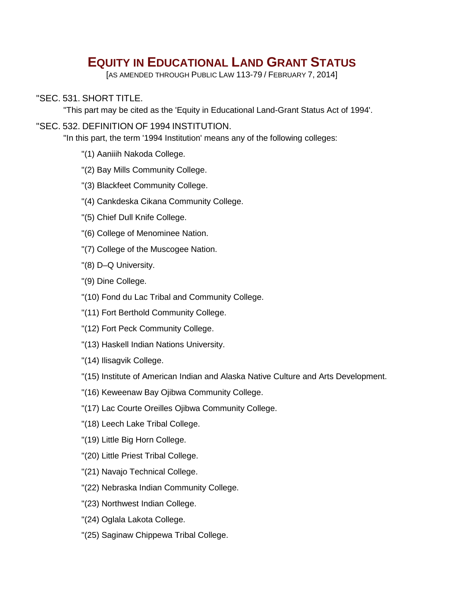# **EQUITY IN EDUCATIONAL LAND GRANT STATUS**

[AS AMENDED THROUGH PUBLIC LAW 113-79 / FEBRUARY 7, 2014]

# "SEC. 531. SHORT TITLE.

"This part may be cited as the 'Equity in Educational Land-Grant Status Act of 1994'.

## "SEC. 532. DEFINITION OF 1994 INSTITUTION.

"In this part, the term '1994 Institution' means any of the following colleges:

- "(1) Aaniiih Nakoda College.
- "(2) Bay Mills Community College.
- "(3) Blackfeet Community College.
- "(4) Cankdeska Cikana Community College.
- "(5) Chief Dull Knife College.
- "(6) College of Menominee Nation.
- "(7) College of the Muscogee Nation.
- "(8) D–Q University.
- "(9) Dine College.
- "(10) Fond du Lac Tribal and Community College.
- "(11) Fort Berthold Community College.
- "(12) Fort Peck Community College.
- "(13) Haskell Indian Nations University.
- "(14) Ilisagvik College.
- "(15) Institute of American Indian and Alaska Native Culture and Arts Development.
- "(16) Keweenaw Bay Ojibwa Community College.
- "(17) Lac Courte Oreilles Ojibwa Community College.
- "(18) Leech Lake Tribal College.
- "(19) Little Big Horn College.
- "(20) Little Priest Tribal College.
- "(21) Navajo Technical College.
- "(22) Nebraska Indian Community College.
- "(23) Northwest Indian College.
- "(24) Oglala Lakota College.
- "(25) Saginaw Chippewa Tribal College.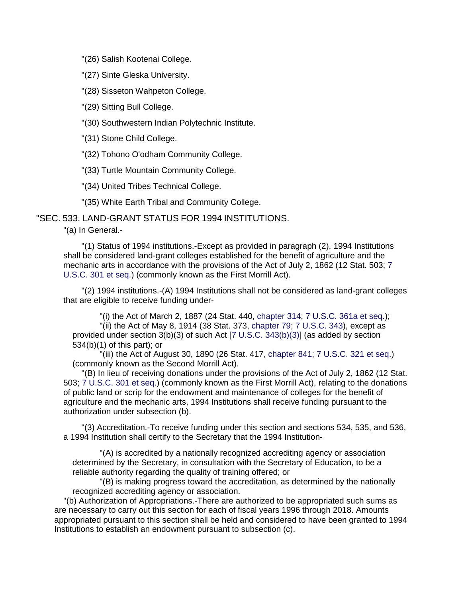"(26) Salish Kootenai College.

"(27) Sinte Gleska University.

"(28) Sisseton Wahpeton College.

"(29) Sitting Bull College.

"(30) Southwestern Indian Polytechnic Institute.

"(31) Stone Child College.

"(32) Tohono O'odham Community College.

"(33) Turtle Mountain Community College.

"(34) United Tribes Technical College.

"(35) White Earth Tribal and Community College.

"SEC. 533. LAND-GRANT STATUS FOR 1994 INSTITUTIONS.

"(a) In General.-

"(1) Status of 1994 institutions.-Except as provided in paragraph (2), 1994 Institutions shall be considered land-grant colleges established for the benefit of agriculture and the mechanic arts in accordance with the provisions of the Act of July 2, 1862 (12 Stat. 503; 7 U.S.C. 301 et seq.) (commonly known as the First Morrill Act).

"(2) 1994 institutions.-(A) 1994 Institutions shall not be considered as land-grant colleges that are eligible to receive funding under-

"(i) the Act of March 2, 1887 (24 Stat. 440, chapter 314; 7 U.S.C. 361a et seq.); "(ii) the Act of May 8, 1914 (38 Stat. 373, chapter 79; 7 U.S.C. 343), except as provided under section 3(b)(3) of such Act [7 U.S.C. 343(b)(3)] (as added by section 534(b)(1) of this part); or

"(iii) the Act of August 30, 1890 (26 Stat. 417, chapter 841; 7 U.S.C. 321 et seq.) (commonly known as the Second Morrill Act).

"(B) In lieu of receiving donations under the provisions of the Act of July 2, 1862 (12 Stat. 503; 7 U.S.C. 301 et seq.) (commonly known as the First Morrill Act), relating to the donations of public land or scrip for the endowment and maintenance of colleges for the benefit of agriculture and the mechanic arts, 1994 Institutions shall receive funding pursuant to the authorization under subsection (b).

"(3) Accreditation.-To receive funding under this section and sections 534, 535, and 536, a 1994 Institution shall certify to the Secretary that the 1994 Institution-

"(A) is accredited by a nationally recognized accrediting agency or association determined by the Secretary, in consultation with the Secretary of Education, to be a reliable authority regarding the quality of training offered; or

"(B) is making progress toward the accreditation, as determined by the nationally recognized accrediting agency or association.

"(b) Authorization of Appropriations.-There are authorized to be appropriated such sums as are necessary to carry out this section for each of fiscal years 1996 through 2018. Amounts appropriated pursuant to this section shall be held and considered to have been granted to 1994 Institutions to establish an endowment pursuant to subsection (c).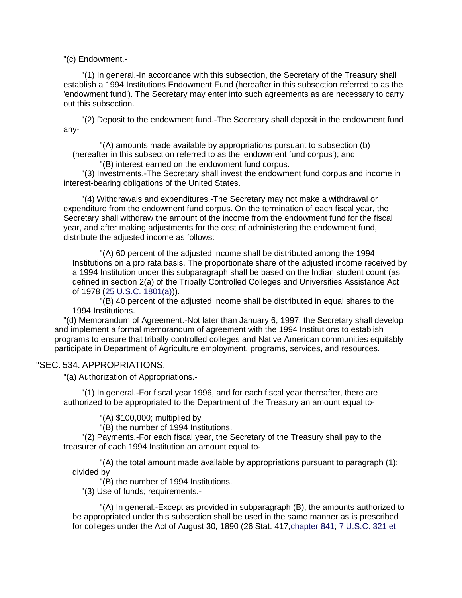"(c) Endowment.-

"(1) In general.-In accordance with this subsection, the Secretary of the Treasury shall establish a 1994 Institutions Endowment Fund (hereafter in this subsection referred to as the 'endowment fund'). The Secretary may enter into such agreements as are necessary to carry out this subsection.

"(2) Deposit to the endowment fund.-The Secretary shall deposit in the endowment fund any-

"(A) amounts made available by appropriations pursuant to subsection (b) (hereafter in this subsection referred to as the 'endowment fund corpus'); and

"(B) interest earned on the endowment fund corpus.

"(3) Investments.-The Secretary shall invest the endowment fund corpus and income in interest-bearing obligations of the United States.

"(4) Withdrawals and expenditures.-The Secretary may not make a withdrawal or expenditure from the endowment fund corpus. On the termination of each fiscal year, the Secretary shall withdraw the amount of the income from the endowment fund for the fiscal year, and after making adjustments for the cost of administering the endowment fund, distribute the adjusted income as follows:

"(A) 60 percent of the adjusted income shall be distributed among the 1994 Institutions on a pro rata basis. The proportionate share of the adjusted income received by a 1994 Institution under this subparagraph shall be based on the Indian student count (as defined in section 2(a) of the Tribally Controlled Colleges and Universities Assistance Act of 1978 (25 U.S.C. 1801(a))).

"(B) 40 percent of the adjusted income shall be distributed in equal shares to the 1994 Institutions.

"(d) Memorandum of Agreement.-Not later than January 6, 1997, the Secretary shall develop and implement a formal memorandum of agreement with the 1994 Institutions to establish programs to ensure that tribally controlled colleges and Native American communities equitably participate in Department of Agriculture employment, programs, services, and resources.

#### "SEC. 534. APPROPRIATIONS.

"(a) Authorization of Appropriations.-

"(1) In general.-For fiscal year 1996, and for each fiscal year thereafter, there are authorized to be appropriated to the Department of the Treasury an amount equal to-

"(A) \$100,000; multiplied by

"(B) the number of 1994 Institutions.

"(2) Payments.-For each fiscal year, the Secretary of the Treasury shall pay to the treasurer of each 1994 Institution an amount equal to-

"(A) the total amount made available by appropriations pursuant to paragraph (1); divided by

"(B) the number of 1994 Institutions.

"(3) Use of funds; requirements.-

"(A) In general.-Except as provided in subparagraph (B), the amounts authorized to be appropriated under this subsection shall be used in the same manner as is prescribed for colleges under the Act of August 30, 1890 (26 Stat. 417,chapter 841; 7 U.S.C. 321 et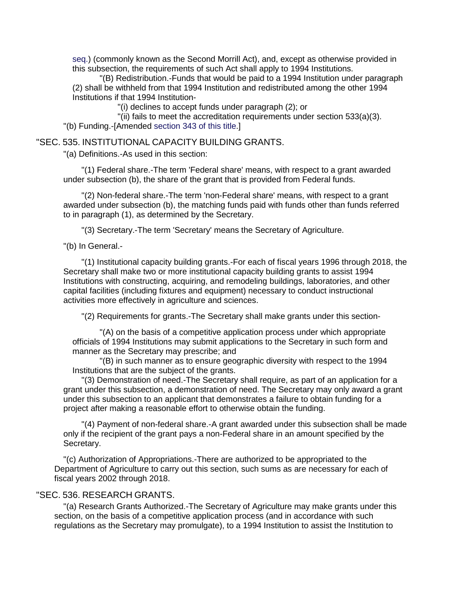seq.) (commonly known as the Second Morrill Act), and, except as otherwise provided in this subsection, the requirements of such Act shall apply to 1994 Institutions.

"(B) Redistribution.-Funds that would be paid to a 1994 Institution under paragraph (2) shall be withheld from that 1994 Institution and redistributed among the other 1994 Institutions if that 1994 Institution-

"(i) declines to accept funds under paragraph (2); or

"(ii) fails to meet the accreditation requirements under section 533(a)(3). "(b) Funding.-[Amended section 343 of this title.]

## "SEC. 535. INSTITUTIONAL CAPACITY BUILDING GRANTS.

"(a) Definitions.-As used in this section:

"(1) Federal share.-The term 'Federal share' means, with respect to a grant awarded under subsection (b), the share of the grant that is provided from Federal funds.

"(2) Non-federal share.-The term 'non-Federal share' means, with respect to a grant awarded under subsection (b), the matching funds paid with funds other than funds referred to in paragraph (1), as determined by the Secretary.

"(3) Secretary.-The term 'Secretary' means the Secretary of Agriculture.

"(b) In General.-

"(1) Institutional capacity building grants.-For each of fiscal years 1996 through 2018, the Secretary shall make two or more institutional capacity building grants to assist 1994 Institutions with constructing, acquiring, and remodeling buildings, laboratories, and other capital facilities (including fixtures and equipment) necessary to conduct instructional activities more effectively in agriculture and sciences.

"(2) Requirements for grants.-The Secretary shall make grants under this section-

"(A) on the basis of a competitive application process under which appropriate officials of 1994 Institutions may submit applications to the Secretary in such form and manner as the Secretary may prescribe; and

"(B) in such manner as to ensure geographic diversity with respect to the 1994 Institutions that are the subject of the grants.

"(3) Demonstration of need.-The Secretary shall require, as part of an application for a grant under this subsection, a demonstration of need. The Secretary may only award a grant under this subsection to an applicant that demonstrates a failure to obtain funding for a project after making a reasonable effort to otherwise obtain the funding.

"(4) Payment of non-federal share.-A grant awarded under this subsection shall be made only if the recipient of the grant pays a non-Federal share in an amount specified by the Secretary.

"(c) Authorization of Appropriations.-There are authorized to be appropriated to the Department of Agriculture to carry out this section, such sums as are necessary for each of fiscal years 2002 through 2018.

## "SEC. 536. RESEARCH GRANTS.

"(a) Research Grants Authorized.-The Secretary of Agriculture may make grants under this section, on the basis of a competitive application process (and in accordance with such regulations as the Secretary may promulgate), to a 1994 Institution to assist the Institution to